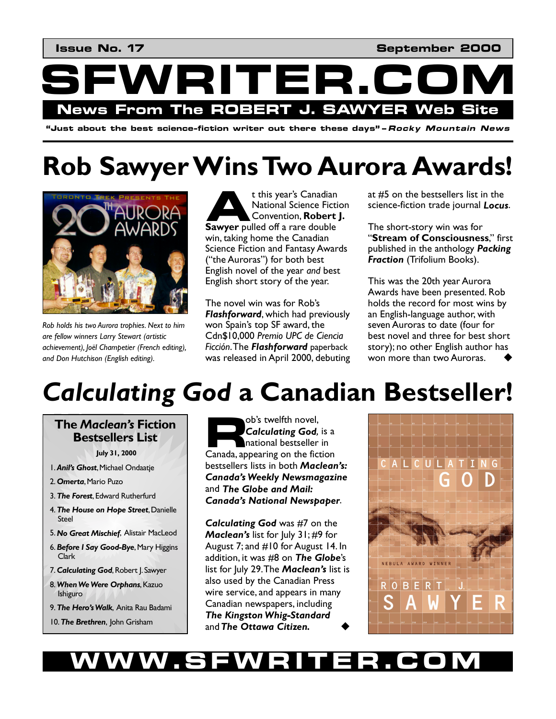**Issue No. 17** No. 17 No. 18 No. 19 No. 19 No. 19 No. 19 No. 19 No. 19 No. 19 No. 19 No. 19 No. 19 No. 19 No. 19 No. 19 No. 19 No. 19 No. 19 No. 19 No. 19 No. 19 No. 19 No. 19 No. 19 No. 19 No. 19 No. 19 No. 19 No. 19 No.



**ìJust about the best science-fiction writer out there these daysîñRocky Mountain News** 

# **Rob Sawyer Wins Two Aurora Awards!**



*Rob holds his two Aurora trophies. Next to him are fellow winners Larry Stewart (artistic achievement), JoÎl Champetier (French editing), and Don Hutchison (English editing).* 

t this year's Canadian National Science Fiction Convention, **Robert J. Sawyer pulled off a rare double**<br> **Convention, Robert** win, taking home the Canadian Science Fiction and Fantasy Awards ("the Auroras") for both best English novel of the year *and* best English short story of the year.

The novel win was for Robís *Flashforward*, which had previously won Spain's top SF award, the Cdn\$10,000 *Premio UPC de Ciencia Ficción*. The *Flashforward* paperback was released in April 2000, debuting at #5 on the bestsellers list in the science-fiction trade journal *Locus*.

The short-story win was for **"Stream of Consciousness,"** first published in the anthology *Packing Fraction* (Trifolium Books).

This was the 20th year Aurora Awards have been presented. Rob holds the record for most wins by an English-language author, with seven Auroras to date (four for best novel and three for best short story); no other English author has won more than two Auroras.

## *Calculating God* **a Canadian Bestseller!**

### **R The** *Macleanís* **Fiction Bestsellers List**

**July 31, 2000**

- 1. *Anilís Ghost*, Michael Ondaatje
- 2. *Omerta*, Mario Puzo
- 3. *The Forest*, Edward Rutherfurd
- 4. *The House on Hope Street*, Danielle Steel
- 5. *No Great Mischief*, Alistair MacLeod
- 6. *Before I Say Good-Bye*, Mary Higgins Clark
- 7. **Calculating God, Robert J. Sawyer**
- 8. *When We Were Orphans*, Kazuo Ishiguro
- 9. *The Heroís Walk*, Anita Rau Badami
- 10. *The Brethren*, John Grisham

obís twelfth novel, *Calculating God,* is a national bestseller in Canada, appearing on the fiction bestsellers lists in both *Macleanís: Canadaís Weekly Newsmagazine* and *The Globe and Mail: Canadaís National Newspaper*.

*Calculating God* was #7 on the *Macleanís* list for July 31; #9 for August 7; and #10 for August 14. In addition, it was #8 on *The Globe*ís list for July 29. The *Macleanís* list is also used by the Canadian Press wire service, and appears in many Canadian newspapers, including *The Kingston Whig-Standard*  and The Ottawa Citizen.



### **WSFWRITE**